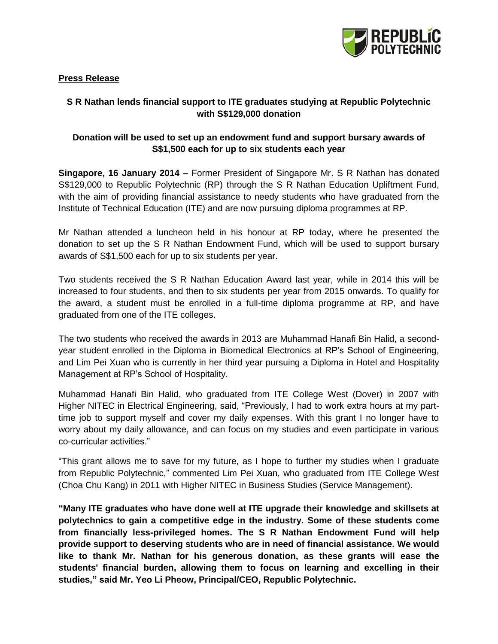

### **Press Release**

# **S R Nathan lends financial support to ITE graduates studying at Republic Polytechnic with S\$129,000 donation**

## **Donation will be used to set up an endowment fund and support bursary awards of S\$1,500 each for up to six students each year**

**Singapore, 16 January 2014 –** Former President of Singapore Mr. S R Nathan has donated S\$129,000 to Republic Polytechnic (RP) through the S R Nathan Education Upliftment Fund, with the aim of providing financial assistance to needy students who have graduated from the Institute of Technical Education (ITE) and are now pursuing diploma programmes at RP.

Mr Nathan attended a luncheon held in his honour at RP today, where he presented the donation to set up the S R Nathan Endowment Fund, which will be used to support bursary awards of S\$1,500 each for up to six students per year.

Two students received the S R Nathan Education Award last year, while in 2014 this will be increased to four students, and then to six students per year from 2015 onwards. To qualify for the award, a student must be enrolled in a full-time diploma programme at RP, and have graduated from one of the ITE colleges.

The two students who received the awards in 2013 are Muhammad Hanafi Bin Halid, a secondyear student enrolled in the Diploma in Biomedical Electronics at RP's School of Engineering, and Lim Pei Xuan who is currently in her third year pursuing a Diploma in Hotel and Hospitality Management at RP's School of Hospitality.

Muhammad Hanafi Bin Halid, who graduated from ITE College West (Dover) in 2007 with Higher NITEC in Electrical Engineering, said, "Previously, I had to work extra hours at my parttime job to support myself and cover my daily expenses. With this grant I no longer have to worry about my daily allowance, and can focus on my studies and even participate in various co-curricular activities."

"This grant allows me to save for my future, as I hope to further my studies when I graduate from Republic Polytechnic," commented Lim Pei Xuan, who graduated from ITE College West (Choa Chu Kang) in 2011 with Higher NITEC in Business Studies (Service Management).

**"Many ITE graduates who have done well at ITE upgrade their knowledge and skillsets at polytechnics to gain a competitive edge in the industry. Some of these students come from financially less-privileged homes. The S R Nathan Endowment Fund will help provide support to deserving students who are in need of financial assistance. We would like to thank Mr. Nathan for his generous donation, as these grants will ease the students' financial burden, allowing them to focus on learning and excelling in their studies," said Mr. Yeo Li Pheow, Principal/CEO, Republic Polytechnic.**